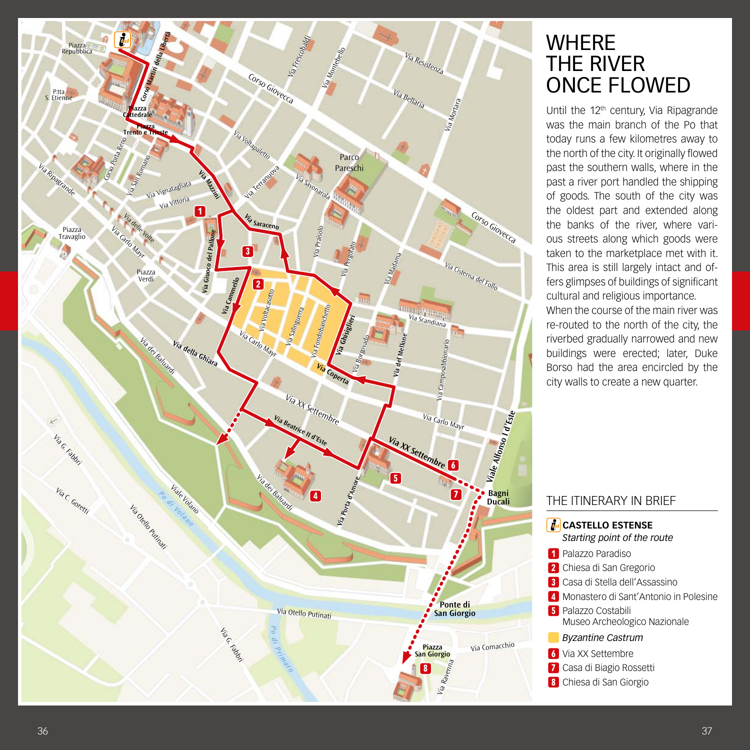

# **WHERE** THE RIVER ONCE FLOWED

Until the 12<sup>th</sup> century, Via Ripagrande was the main branch of the Po that today runs a few kilometres away to the north of the city. It originally flowed past the southern walls, where in the past a river port handled the shipping of goods. The south of the city was the oldest part and extended along the banks of the river, where various streets along which goods were taken to the marketplace met with it. This area is still largely intact and offers glimpses of buildings of significant cultural and religious importance. When the course of the main river was re-routed to the north of the city, the riverbed gradually narrowed and new buildings were erected; later, Duke Borso had the area encircled by the city walls to create a new quarter.

### THE ITINERARY IN BRIEF

| <b>A</b> CASTELLO ESTENSE<br>Starting point of the route   |
|------------------------------------------------------------|
| 1 Palazzo Paradiso                                         |
| 2 Chiesa di San Gregorio                                   |
| 3 Casa di Stella dell'Assassino                            |
| 4 Monastero di Sant'Antonio in Polesine                    |
| <b>5</b> Palazzo Costabili<br>Museo Archeologico Nazionale |
| <b>Byzantine Castrum</b>                                   |
| <b>6</b> Via XX Settembre                                  |
| 7 Casa di Biagio Rossetti                                  |
| 8 Chiesa di San Giorgio                                    |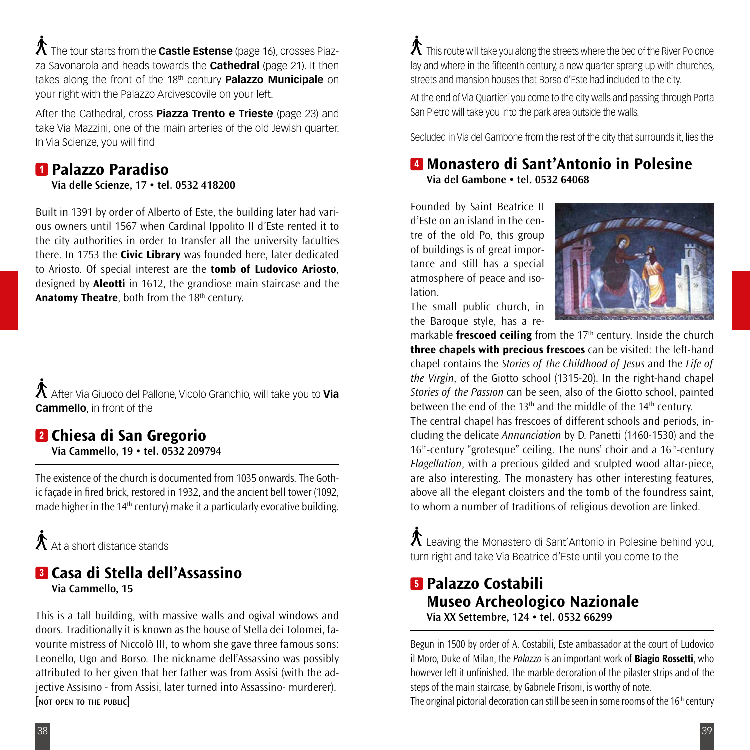The tour starts from the **Castle Estense** (page 16), crosses Piazza Savonarola and heads towards the **Cathedral** (page 21). It then takes along the front of the 18<sup>th</sup> century **Palazzo Municipale** on your right with the Palazzo Arcivescovile on your left.

After the Cathedral, cross **Piazza Trento e Trieste** (page 23) and take Via Mazzini, one of the main arteries of the old Jewish quarter. In Via Scienze, you will find

# 1 **Palazzo Paradiso**

**Via delle Scienze, 17 • tel. 0532 418200**

Built in 1391 by order of Alberto of Este, the building later had various owners until 1567 when Cardinal Ippolito II d'Este rented it to the city authorities in order to transfer all the university faculties there. In 1753 the **Civic Library** was founded here, later dedicated to Ariosto. Of special interest are the **tomb of Ludovico Ariosto**, designed by **Aleotti** in 1612, the grandiose main staircase and the **Anatomy Theatre**, both from the 18<sup>th</sup> century.

After Via Giuoco del Pallone, Vicolo Granchio, will take you to **Via Cammello**, in front of the

#### 2 **Chiesa di San Gregorio Via Cammello, 19 • tel. 0532 209794**

The existence of the church is documented from 1035 onwards. The Gothic façade in fired brick, restored in 1932, and the ancient bell tower (1092, made higher in the 14<sup>th</sup> century) make it a particularly evocative building.

 $\bigwedge$   $\Lambda$  + a short distance stands

## 3 **Casa di Stella dell'Assassino Via Cammello, 15**

This is a tall building, with massive walls and ogival windows and doors. Traditionally it is known as the house of Stella dei Tolomei, favourite mistress of Niccolò III, to whom she gave three famous sons: Leonello, Ugo and Borso. The nickname dell'Assassino was possibly attributed to her given that her father was from Assisi (with the adjective Assisino - from Assisi, later turned into Assassino- murderer). **[not open to the public]**

 ${\mathcal{K}}$  This route will take you along the streets where the bed of the River Po once lay and where in the fifteenth century, a new quarter sprang up with churches, streets and mansion houses that Borso d'Este had included to the city.

At the end of Via Quartieri you come to the city walls and passing through Porta San Pietro will take you into the park area outside the walls.

Secluded in Via del Gambone from the rest of the city that surrounds it, lies the

### 4 **Monastero di Sant'Antonio in Polesine Via del Gambone • tel. 0532 64068**

Founded by Saint Beatrice II d'Este on an island in the centre of the old Po, this group of buildings is of great importance and still has a special atmosphere of peace and isolation.



The small public church, in the Baroque style, has a re-

markable **frescoed ceiling** from the 17<sup>th</sup> century. Inside the church **three chapels with precious frescoes** can be visited: the left-hand chapel contains the *Stories of the Childhood of Jesus* and the *Life of the Virgin*, of the Giotto school (1315-20). In the right-hand chapel *Stories of the Passion* can be seen, also of the Giotto school, painted between the end of the 13<sup>th</sup> and the middle of the 14<sup>th</sup> century. The central chapel has frescoes of different schools and periods, including the delicate *Annunciation* by D. Panetti (1460-1530) and the 16<sup>th</sup>-century "grotesque" ceiling. The nuns' choir and a 16<sup>th</sup>-century *Flagellation*, with a precious gilded and sculpted wood altar-piece, are also interesting. The monastery has other interesting features, above all the elegant cloisters and the tomb of the foundress saint, to whom a number of traditions of religious devotion are linked.

 $\Lambda$  Leaving the Monastero di Sant'Antonio in Polesine behind you, turn right and take Via Beatrice d'Este until you come to the

## 5 **Palazzo Costabili Museo Archeologico Nazionale Via XX Settembre, 124 • tel. 0532 66299**

Begun in 1500 by order of A. Costabili, Este ambassador at the court of Ludovico il Moro, Duke of Milan, the *Palazzo* is an important work of **Biagio Rossetti**, who however left it unfinished. The marble decoration of the pilaster strips and of the steps of the main staircase, by Gabriele Frisoni, is worthy of note.

The original pictorial decoration can still be seen in some rooms of the 16<sup>th</sup> century